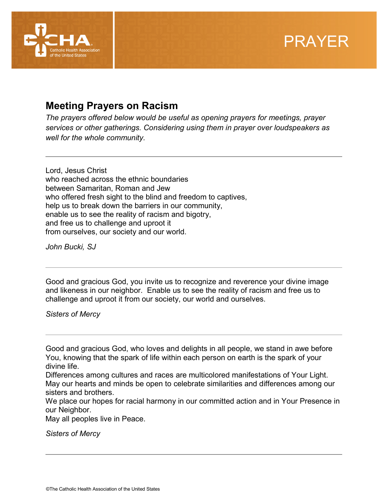



## **Meeting Prayers on Racism**

*The prayers offered below would be useful as opening prayers for meetings, prayer services or other gatherings. Considering using them in prayer over loudspeakers as well for the whole community.* 

Lord, Jesus Christ who reached across the ethnic boundaries between Samaritan, Roman and Jew who offered fresh sight to the blind and freedom to captives, help us to break down the barriers in our community, enable us to see the reality of racism and bigotry, and free us to challenge and uproot it from ourselves, our society and our world.

*John Bucki, SJ*

Good and gracious God, you invite us to recognize and reverence your divine image and likeness in our neighbor. Enable us to see the reality of racism and free us to challenge and uproot it from our society, our world and ourselves.

*Sisters of Mercy*

Good and gracious God, who loves and delights in all people, we stand in awe before You, knowing that the spark of life within each person on earth is the spark of your divine life.

Differences among cultures and races are multicolored manifestations of Your Light. May our hearts and minds be open to celebrate similarities and differences among our sisters and brothers.

We place our hopes for racial harmony in our committed action and in Your Presence in our Neighbor.

May all peoples live in Peace.

*Sisters of Mercy*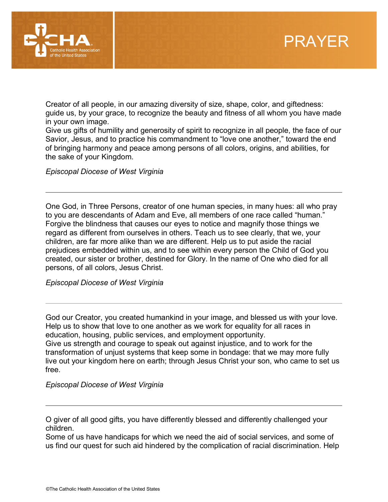



Creator of all people, in our amazing diversity of size, shape, color, and giftedness: guide us, by your grace, to recognize the beauty and fitness of all whom you have made in your own image.

Give us gifts of humility and generosity of spirit to recognize in all people, the face of our Savior, Jesus, and to practice his commandment to "love one another," toward the end of bringing harmony and peace among persons of all colors, origins, and abilities, for the sake of your Kingdom.

*Episcopal Diocese of West Virginia*

One God, in Three Persons, creator of one human species, in many hues: all who pray to you are descendants of Adam and Eve, all members of one race called "human." Forgive the blindness that causes our eyes to notice and magnify those things we regard as different from ourselves in others. Teach us to see clearly, that we, your children, are far more alike than we are different. Help us to put aside the racial prejudices embedded within us, and to see within every person the Child of God you created, our sister or brother, destined for Glory. In the name of One who died for all persons, of all colors, Jesus Christ.

*Episcopal Diocese of West Virginia*

God our Creator, you created humankind in your image, and blessed us with your love. Help us to show that love to one another as we work for equality for all races in education, housing, public services, and employment opportunity. Give us strength and courage to speak out against injustice, and to work for the transformation of unjust systems that keep some in bondage: that we may more fully live out your kingdom here on earth; through Jesus Christ your son, who came to set us free.

*Episcopal Diocese of West Virginia*

O giver of all good gifts, you have differently blessed and differently challenged your children.

Some of us have handicaps for which we need the aid of social services, and some of us find our quest for such aid hindered by the complication of racial discrimination. Help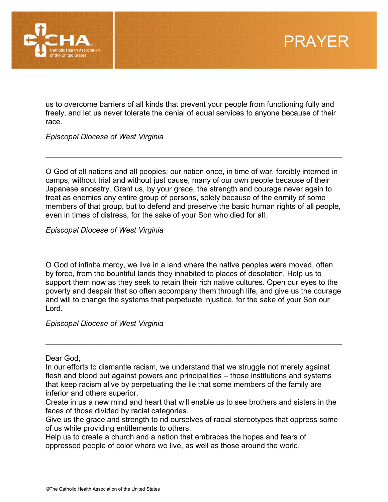

us to overcome barriers of all kinds that prevent your people from functioning fully and freely, and let us never tolerate the denial of equal services to anyone because of their race.

*Episcopal Diocese of West Virginia*

O God of all nations and all peoples: our nation once, in time of war, forcibly interned in camps, without trial and without just cause, many of our own people because of their Japanese ancestry. Grant us, by your grace, the strength and courage never again to treat as enemies any entire group of persons, solely because of the enmity of some members of that group, but to defend and preserve the basic human rights of all people, even in times of distress, for the sake of your Son who died for all.

*Episcopal Diocese of West Virginia*

O God of infinite mercy, we live in a land where the native peoples were moved, often by force, from the bountiful lands they inhabited to places of desolation. Help us to support them now as they seek to retain their rich native cultures. Open our eyes to the poverty and despair that so often accompany them through life, and give us the courage and will to change the systems that perpetuate injustice, for the sake of your Son our Lord.

*Episcopal Diocese of West Virginia*

Dear God,

In our efforts to dismantle racism, we understand that we struggle not merely against flesh and blood but against powers and principalities – those institutions and systems that keep racism alive by perpetuating the lie that some members of the family are inferior and others superior.

Create in us a new mind and heart that will enable us to see brothers and sisters in the faces of those divided by racial categories.

Give us the grace and strength to rid ourselves of racial stereotypes that oppress some of us while providing entitlements to others.

Help us to create a church and a nation that embraces the hopes and fears of oppressed people of color where we live, as well as those around the world.